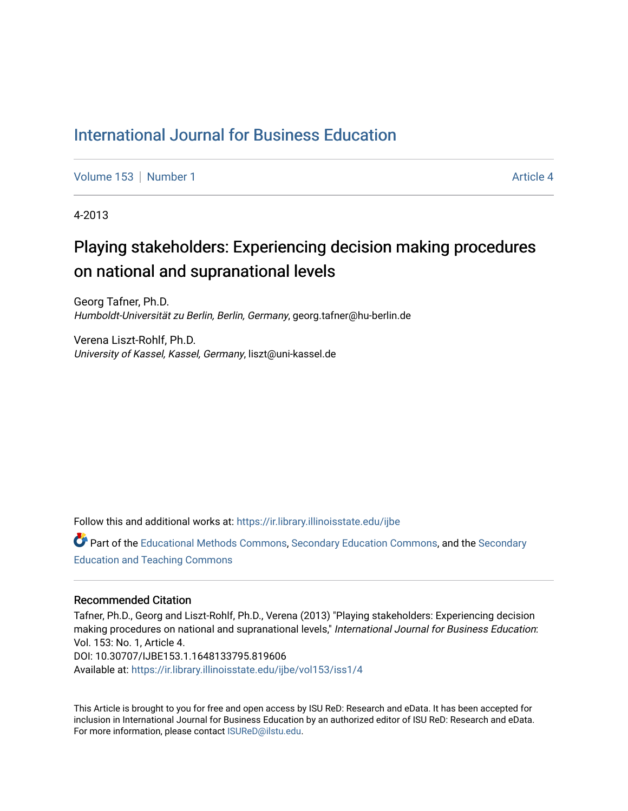#### [International Journal for Business Education](https://ir.library.illinoisstate.edu/ijbe)

[Volume 153](https://ir.library.illinoisstate.edu/ijbe/vol153) | [Number 1](https://ir.library.illinoisstate.edu/ijbe/vol153/iss1) Article 4

4-2013

# Playing stakeholders: Experiencing decision making procedures on national and supranational levels

Georg Tafner, Ph.D. Humboldt-Universität zu Berlin, Berlin, Germany, georg.tafner@hu-berlin.de

Verena Liszt-Rohlf, Ph.D. University of Kassel, Kassel, Germany, liszt@uni-kassel.de

Follow this and additional works at: [https://ir.library.illinoisstate.edu/ijbe](https://ir.library.illinoisstate.edu/ijbe?utm_source=ir.library.illinoisstate.edu%2Fijbe%2Fvol153%2Fiss1%2F4&utm_medium=PDF&utm_campaign=PDFCoverPages)

Part of the [Educational Methods Commons,](http://network.bepress.com/hgg/discipline/1227?utm_source=ir.library.illinoisstate.edu%2Fijbe%2Fvol153%2Fiss1%2F4&utm_medium=PDF&utm_campaign=PDFCoverPages) [Secondary Education Commons,](http://network.bepress.com/hgg/discipline/1382?utm_source=ir.library.illinoisstate.edu%2Fijbe%2Fvol153%2Fiss1%2F4&utm_medium=PDF&utm_campaign=PDFCoverPages) and the [Secondary](http://network.bepress.com/hgg/discipline/809?utm_source=ir.library.illinoisstate.edu%2Fijbe%2Fvol153%2Fiss1%2F4&utm_medium=PDF&utm_campaign=PDFCoverPages)  [Education and Teaching Commons](http://network.bepress.com/hgg/discipline/809?utm_source=ir.library.illinoisstate.edu%2Fijbe%2Fvol153%2Fiss1%2F4&utm_medium=PDF&utm_campaign=PDFCoverPages) 

#### Recommended Citation

Tafner, Ph.D., Georg and Liszt-Rohlf, Ph.D., Verena (2013) "Playing stakeholders: Experiencing decision making procedures on national and supranational levels," International Journal for Business Education: Vol. 153: No. 1, Article 4. DOI: 10.30707/IJBE153.1.1648133795.819606 Available at: [https://ir.library.illinoisstate.edu/ijbe/vol153/iss1/4](https://ir.library.illinoisstate.edu/ijbe/vol153/iss1/4?utm_source=ir.library.illinoisstate.edu%2Fijbe%2Fvol153%2Fiss1%2F4&utm_medium=PDF&utm_campaign=PDFCoverPages) 

This Article is brought to you for free and open access by ISU ReD: Research and eData. It has been accepted for inclusion in International Journal for Business Education by an authorized editor of ISU ReD: Research and eData. For more information, please contact [ISUReD@ilstu.edu.](mailto:ISUReD@ilstu.edu)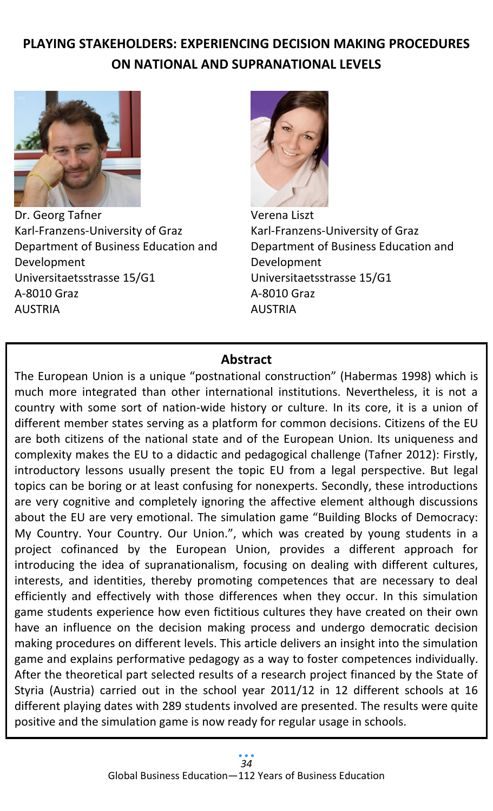# **PLAYING STAKEHOLDERS: EXPERIENCING DECISION MAKING PROCEDURES ON NATIONAL AND SUPRANATIONAL LEVELS**



Dr. Georg Tafner Karl-Franzens-University of Graz Department of Business Education and Development Universitaetsstrasse 15/G1 A-8010 Graz AUSTRIA



Verena Liszt Karl-Franzens-University of Graz Department of Business Education and Development Universitaetsstrasse 15/G1 A-8010 Graz AUSTRIA

# **Abstract**

The European Union is a unique "postnational construction" (Habermas 1998) which is much more integrated than other international institutions. Nevertheless, it is not a country with some sort of nation-wide history or culture. In its core, it is a union of different member states serving as a platform for common decisions. Citizens of the EU are both citizens of the national state and of the European Union. Its uniqueness and complexity makes the EU to a didactic and pedagogical challenge (Tafner 2012): Firstly, introductory lessons usually present the topic EU from a legal perspective. But legal topics can be boring or at least confusing for nonexperts. Secondly, these introductions are very cognitive and completely ignoring the affective element although discussions about the EU are very emotional. The simulation game "Building Blocks of Democracy: My Country. Your Country. Our Union.", which was created by young students in a project cofinanced by the European Union, provides a different approach for introducing the idea of supranationalism, focusing on dealing with different cultures, interests, and identities, thereby promoting competences that are necessary to deal efficiently and effectively with those differences when they occur. In this simulation game students experience how even fictitious cultures they have created on their own have an influence on the decision making process and undergo democratic decision making procedures on different levels. This article delivers an insight into the simulation game and explains performative pedagogy as a way to foster competences individually. After the theoretical part selected results of a research project financed by the State of Styria (Austria) carried out in the school year 2011/12 in 12 different schools at 16 different playing dates with 289 students involved are presented. The results were quite positive and the simulation game is now ready for regular usage in schools.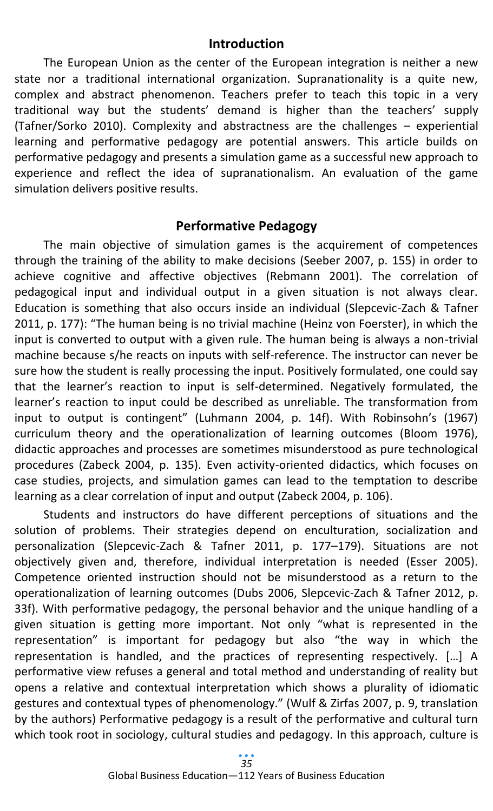#### **Introduction**

The European Union as the center of the European integration is neither a new state nor a traditional international organization. Supranationality is a quite new, complex and abstract phenomenon. Teachers prefer to teach this topic in a very traditional way but the students' demand is higher than the teachers' supply (Tafner/Sorko 2010). Complexity and abstractness are the challenges – experiential learning and performative pedagogy are potential answers. This article builds on performative pedagogy and presents a simulation game as a successful new approach to experience and reflect the idea of supranationalism. An evaluation of the game simulation delivers positive results.

## **Performative Pedagogy**

The main objective of simulation games is the acquirement of competences through the training of the ability to make decisions (Seeber 2007, p. 155) in order to achieve cognitive and affective objectives (Rebmann 2001). The correlation of pedagogical input and individual output in a given situation is not always clear. Education is something that also occurs inside an individual (Slepcevic-Zach & Tafner 2011, p. 177): "The human being is no trivial machine (Heinz von Foerster), in which the input is converted to output with a given rule. The human being is always a non-trivial machine because s/he reacts on inputs with self-reference. The instructor can never be sure how the student is really processing the input. Positively formulated, one could say that the learner's reaction to input is self-determined. Negatively formulated, the learner's reaction to input could be described as unreliable. The transformation from input to output is contingent" (Luhmann 2004, p. 14f). With Robinsohn's (1967) curriculum theory and the operationalization of learning outcomes (Bloom 1976), didactic approaches and processes are sometimes misunderstood as pure technological procedures (Zabeck 2004, p. 135). Even activity-oriented didactics, which focuses on case studies, projects, and simulation games can lead to the temptation to describe learning as a clear correlation of input and output (Zabeck 2004, p. 106).

Students and instructors do have different perceptions of situations and the solution of problems. Their strategies depend on enculturation, socialization and personalization (Slepcevic-Zach & Tafner 2011, p. 177–179). Situations are not objectively given and, therefore, individual interpretation is needed (Esser 2005). Competence oriented instruction should not be misunderstood as a return to the operationalization of learning outcomes (Dubs 2006, Slepcevic-Zach & Tafner 2012, p. 33f). With performative pedagogy, the personal behavior and the unique handling of a given situation is getting more important. Not only "what is represented in the representation" is important for pedagogy but also "the way in which the representation is handled, and the practices of representing respectively. […] A performative view refuses a general and total method and understanding of reality but opens a relative and contextual interpretation which shows a plurality of idiomatic gestures and contextual types of phenomenology." (Wulf & Zirfas 2007, p. 9, translation by the authors) Performative pedagogy is a result of the performative and cultural turn which took root in sociology, cultural studies and pedagogy. In this approach, culture is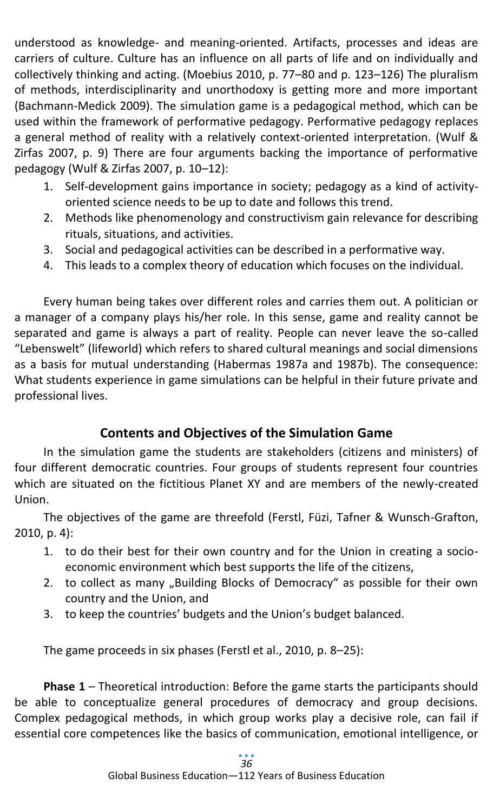understood as knowledge- and meaning-oriented. Artifacts, processes and ideas are carriers of culture. Culture has an influence on all parts of life and on individually and collectively thinking and acting. (Moebius 2010, p. 77–80 and p. 123–126) The pluralism of methods, interdisciplinarity and unorthodoxy is getting more and more important (Bachmann-Medick 2009). The simulation game is a pedagogical method, which can be used within the framework of performative pedagogy. Performative pedagogy replaces a general method of reality with a relatively context-oriented interpretation. (Wulf & Zirfas 2007, p. 9) There are four arguments backing the importance of performative pedagogy (Wulf & Zirfas 2007, p. 10–12):

- 1. Self-development gains importance in society; pedagogy as a kind of activityoriented science needs to be up to date and follows this trend.
- 2. Methods like phenomenology and constructivism gain relevance for describing rituals, situations, and activities.
- 3. Social and pedagogical activities can be described in a performative way.
- 4. This leads to a complex theory of education which focuses on the individual.

Every human being takes over different roles and carries them out. A politician or a manager of a company plays his/her role. In this sense, game and reality cannot be separated and game is always a part of reality. People can never leave the so-called "Lebenswelt" (lifeworld) which refers to shared cultural meanings and social dimensions as a basis for mutual understanding (Habermas 1987a and 1987b). The consequence: What students experience in game simulations can be helpful in their future private and professional lives.

# **Contents and Objectives of the Simulation Game**

In the simulation game the students are stakeholders (citizens and ministers) of four different democratic countries. Four groups of students represent four countries which are situated on the fictitious Planet XY and are members of the newly-created Union.

The objectives of the game are threefold (Ferstl, Füzi, Tafner & Wunsch-Grafton, 2010, p. 4):

- 1. to do their best for their own country and for the Union in creating a socioeconomic environment which best supports the life of the citizens,
- 2. to collect as many "Building Blocks of Democracy" as possible for their own country and the Union, and
- 3. to keep the countries' budgets and the Union's budget balanced.

The game proceeds in six phases (Ferstl et al., 2010, p. 8–25):

**Phase 1** – Theoretical introduction: Before the game starts the participants should be able to conceptualize general procedures of democracy and group decisions. Complex pedagogical methods, in which group works play a decisive role, can fail if essential core competences like the basics of communication, emotional intelligence, or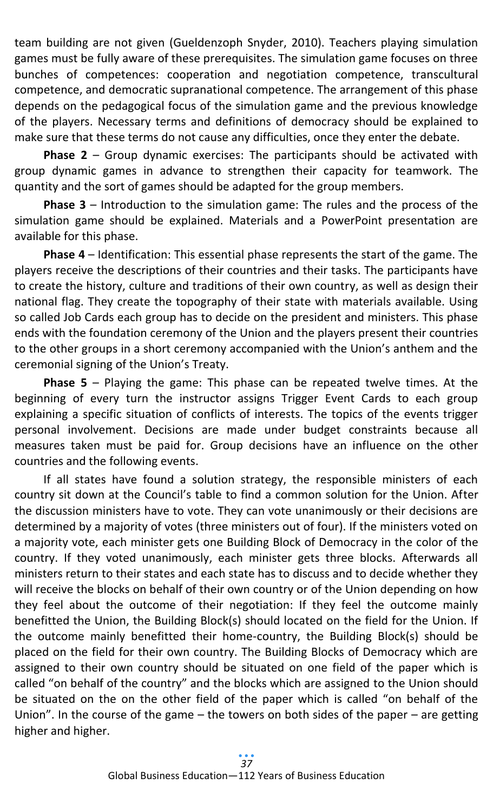team building are not given (Gueldenzoph Snyder, 2010). Teachers playing simulation games must be fully aware of these prerequisites. The simulation game focuses on three bunches of competences: cooperation and negotiation competence, transcultural competence, and democratic supranational competence. The arrangement of this phase depends on the pedagogical focus of the simulation game and the previous knowledge of the players. Necessary terms and definitions of democracy should be explained to make sure that these terms do not cause any difficulties, once they enter the debate.

**Phase 2** – Group dynamic exercises: The participants should be activated with group dynamic games in advance to strengthen their capacity for teamwork. The quantity and the sort of games should be adapted for the group members.

**Phase 3** – Introduction to the simulation game: The rules and the process of the simulation game should be explained. Materials and a PowerPoint presentation are available for this phase.

**Phase 4** – Identification: This essential phase represents the start of the game. The players receive the descriptions of their countries and their tasks. The participants have to create the history, culture and traditions of their own country, as well as design their national flag. They create the topography of their state with materials available. Using so called Job Cards each group has to decide on the president and ministers. This phase ends with the foundation ceremony of the Union and the players present their countries to the other groups in a short ceremony accompanied with the Union's anthem and the ceremonial signing of the Union's Treaty.

**Phase 5** – Playing the game: This phase can be repeated twelve times. At the beginning of every turn the instructor assigns Trigger Event Cards to each group explaining a specific situation of conflicts of interests. The topics of the events trigger personal involvement. Decisions are made under budget constraints because all measures taken must be paid for. Group decisions have an influence on the other countries and the following events.

If all states have found a solution strategy, the responsible ministers of each country sit down at the Council's table to find a common solution for the Union. After the discussion ministers have to vote. They can vote unanimously or their decisions are determined by a majority of votes (three ministers out of four). If the ministers voted on a majority vote, each minister gets one Building Block of Democracy in the color of the country. If they voted unanimously, each minister gets three blocks. Afterwards all ministers return to their states and each state has to discuss and to decide whether they will receive the blocks on behalf of their own country or of the Union depending on how they feel about the outcome of their negotiation: If they feel the outcome mainly benefitted the Union, the Building Block(s) should located on the field for the Union. If the outcome mainly benefitted their home-country, the Building Block(s) should be placed on the field for their own country. The Building Blocks of Democracy which are assigned to their own country should be situated on one field of the paper which is called "on behalf of the country" and the blocks which are assigned to the Union should be situated on the on the other field of the paper which is called "on behalf of the Union". In the course of the game  $-$  the towers on both sides of the paper  $-$  are getting higher and higher.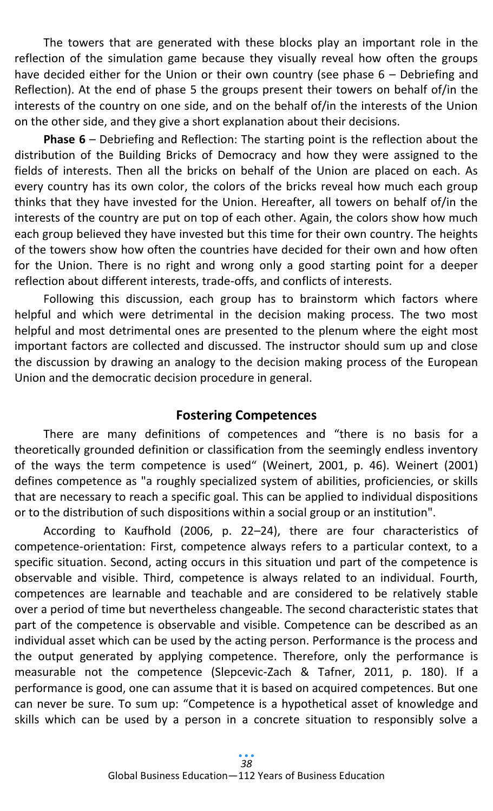The towers that are generated with these blocks play an important role in the reflection of the simulation game because they visually reveal how often the groups have decided either for the Union or their own country (see phase 6 – Debriefing and Reflection). At the end of phase 5 the groups present their towers on behalf of/in the interests of the country on one side, and on the behalf of/in the interests of the Union on the other side, and they give a short explanation about their decisions.

**Phase 6** – Debriefing and Reflection: The starting point is the reflection about the distribution of the Building Bricks of Democracy and how they were assigned to the fields of interests. Then all the bricks on behalf of the Union are placed on each. As every country has its own color, the colors of the bricks reveal how much each group thinks that they have invested for the Union. Hereafter, all towers on behalf of/in the interests of the country are put on top of each other. Again, the colors show how much each group believed they have invested but this time for their own country. The heights of the towers show how often the countries have decided for their own and how often for the Union. There is no right and wrong only a good starting point for a deeper reflection about different interests, trade-offs, and conflicts of interests.

Following this discussion, each group has to brainstorm which factors where helpful and which were detrimental in the decision making process. The two most helpful and most detrimental ones are presented to the plenum where the eight most important factors are collected and discussed. The instructor should sum up and close the discussion by drawing an analogy to the decision making process of the European Union and the democratic decision procedure in general.

#### **Fostering Competences**

There are many definitions of competences and "there is no basis for a theoretically grounded definition or classification from the seemingly endless inventory of the ways the term competence is used" (Weinert, 2001, p. 46). Weinert (2001) defines competence as "a roughly specialized system of abilities, proficiencies, or skills that are necessary to reach a specific goal. This can be applied to individual dispositions or to the distribution of such dispositions within a social group or an institution".

According to Kaufhold (2006, p. 22–24), there are four characteristics of competence-orientation: First, competence always refers to a particular context, to a specific situation. Second, acting occurs in this situation und part of the competence is observable and visible. Third, competence is always related to an individual. Fourth, competences are learnable and teachable and are considered to be relatively stable over a period of time but nevertheless changeable. The second characteristic states that part of the competence is observable and visible. Competence can be described as an individual asset which can be used by the acting person. Performance is the process and the output generated by applying competence. Therefore, only the performance is measurable not the competence (Slepcevic-Zach & Tafner, 2011, p. 180). If a performance is good, one can assume that it is based on acquired competences. But one can never be sure. To sum up: "Competence is a hypothetical asset of knowledge and skills which can be used by a person in a concrete situation to responsibly solve a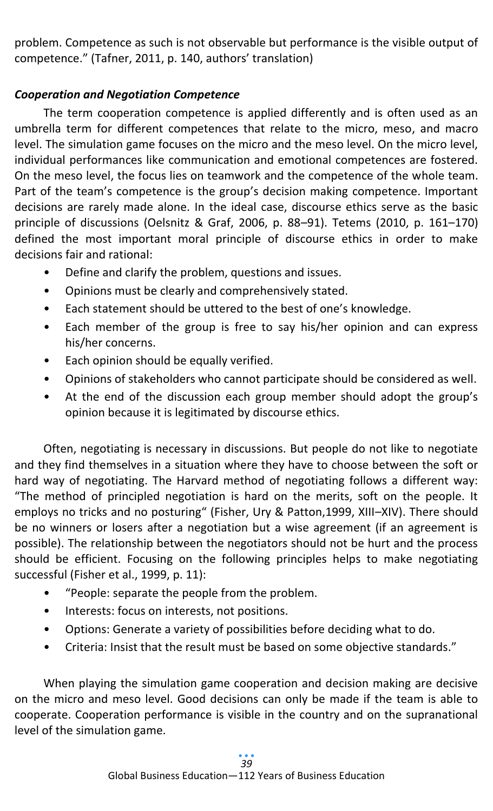problem. Competence as such is not observable but performance is the visible output of competence." (Tafner, 2011, p. 140, authors' translation)

# *Cooperation and Negotiation Competence*

The term cooperation competence is applied differently and is often used as an umbrella term for different competences that relate to the micro, meso, and macro level. The simulation game focuses on the micro and the meso level. On the micro level, individual performances like communication and emotional competences are fostered. On the meso level, the focus lies on teamwork and the competence of the whole team. Part of the team's competence is the group's decision making competence. Important decisions are rarely made alone. In the ideal case, discourse ethics serve as the basic principle of discussions (Oelsnitz & Graf, 2006, p. 88–91). Tetems (2010, p. 161–170) defined the most important moral principle of discourse ethics in order to make decisions fair and rational:

- Define and clarify the problem, questions and issues.
- Opinions must be clearly and comprehensively stated.
- Each statement should be uttered to the best of one's knowledge.
- Each member of the group is free to say his/her opinion and can express his/her concerns.
- Each opinion should be equally verified.
- Opinions of stakeholders who cannot participate should be considered as well.
- At the end of the discussion each group member should adopt the group's opinion because it is legitimated by discourse ethics.

Often, negotiating is necessary in discussions. But people do not like to negotiate and they find themselves in a situation where they have to choose between the soft or hard way of negotiating. The Harvard method of negotiating follows a different way: "The method of principled negotiation is hard on the merits, soft on the people. It employs no tricks and no posturing" (Fisher, Ury & Patton,1999, XIII–XIV). There should be no winners or losers after a negotiation but a wise agreement (if an agreement is possible). The relationship between the negotiators should not be hurt and the process should be efficient. Focusing on the following principles helps to make negotiating successful (Fisher et al., 1999, p. 11):

- "People: separate the people from the problem.
- Interests: focus on interests, not positions.
- Options: Generate a variety of possibilities before deciding what to do.
- Criteria: Insist that the result must be based on some objective standards."

When playing the simulation game cooperation and decision making are decisive on the micro and meso level. Good decisions can only be made if the team is able to cooperate. Cooperation performance is visible in the country and on the supranational level of the simulation game.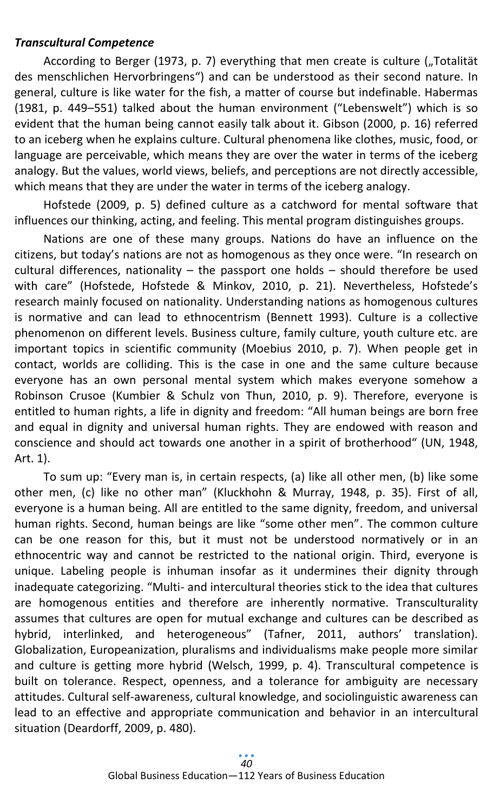#### *Transcultural Competence*

According to Berger (1973, p. 7) everything that men create is culture ("Totalität des menschlichen Hervorbringens") and can be understood as their second nature. In general, culture is like water for the fish, a matter of course but indefinable. Habermas (1981, p. 449–551) talked about the human environment ("Lebenswelt") which is so evident that the human being cannot easily talk about it. Gibson (2000, p. 16) referred to an iceberg when he explains culture. Cultural phenomena like clothes, music, food, or language are perceivable, which means they are over the water in terms of the iceberg analogy. But the values, world views, beliefs, and perceptions are not directly accessible, which means that they are under the water in terms of the iceberg analogy.

Hofstede (2009, p. 5) defined culture as a catchword for mental software that influences our thinking, acting, and feeling. This mental program distinguishes groups.

Nations are one of these many groups. Nations do have an influence on the citizens, but today's nations are not as homogenous as they once were. "In research on cultural differences, nationality – the passport one holds – should therefore be used with care" (Hofstede, Hofstede & Minkov, 2010, p. 21). Nevertheless, Hofstede's research mainly focused on nationality. Understanding nations as homogenous cultures is normative and can lead to ethnocentrism (Bennett 1993). Culture is a collective phenomenon on different levels. Business culture, family culture, youth culture etc. are important topics in scientific community (Moebius 2010, p. 7). When people get in contact, worlds are colliding. This is the case in one and the same culture because everyone has an own personal mental system which makes everyone somehow a Robinson Crusoe (Kumbier & Schulz von Thun, 2010, p. 9). Therefore, everyone is entitled to human rights, a life in dignity and freedom: "All human beings are born free and equal in dignity and universal human rights. They are endowed with reason and conscience and should act towards one another in a spirit of brotherhood" (UN, 1948, Art. 1).

To sum up: "Every man is, in certain respects, (a) like all other men, (b) like some other men, (c) like no other man" (Kluckhohn & Murray, 1948, p. 35). First of all, everyone is a human being. All are entitled to the same dignity, freedom, and universal human rights. Second, human beings are like "some other men". The common culture can be one reason for this, but it must not be understood normatively or in an ethnocentric way and cannot be restricted to the national origin. Third, everyone is unique. Labeling people is inhuman insofar as it undermines their dignity through inadequate categorizing. "Multi- and intercultural theories stick to the idea that cultures are homogenous entities and therefore are inherently normative. Transculturality assumes that cultures are open for mutual exchange and cultures can be described as hybrid, interlinked, and heterogeneous" (Tafner, 2011, authors' translation). Globalization, Europeanization, pluralisms and individualisms make people more similar and culture is getting more hybrid (Welsch, 1999, p. 4). Transcultural competence is built on tolerance. Respect, openness, and a tolerance for ambiguity are necessary attitudes. Cultural self-awareness, cultural knowledge, and sociolinguistic awareness can lead to an effective and appropriate communication and behavior in an intercultural situation (Deardorff, 2009, p. 480).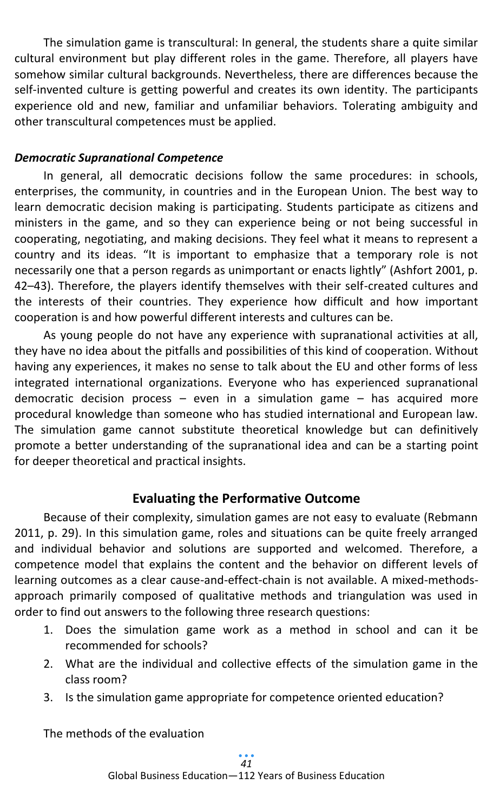The simulation game is transcultural: In general, the students share a quite similar cultural environment but play different roles in the game. Therefore, all players have somehow similar cultural backgrounds. Nevertheless, there are differences because the self-invented culture is getting powerful and creates its own identity. The participants experience old and new, familiar and unfamiliar behaviors. Tolerating ambiguity and other transcultural competences must be applied.

#### *Democratic Supranational Competence*

In general, all democratic decisions follow the same procedures: in schools, enterprises, the community, in countries and in the European Union. The best way to learn democratic decision making is participating. Students participate as citizens and ministers in the game, and so they can experience being or not being successful in cooperating, negotiating, and making decisions. They feel what it means to represent a country and its ideas. "It is important to emphasize that a temporary role is not necessarily one that a person regards as unimportant or enacts lightly" (Ashfort 2001, p. 42–43). Therefore, the players identify themselves with their self-created cultures and the interests of their countries. They experience how difficult and how important cooperation is and how powerful different interests and cultures can be.

As young people do not have any experience with supranational activities at all, they have no idea about the pitfalls and possibilities of this kind of cooperation. Without having any experiences, it makes no sense to talk about the EU and other forms of less integrated international organizations. Everyone who has experienced supranational democratic decision process – even in a simulation game – has acquired more procedural knowledge than someone who has studied international and European law. The simulation game cannot substitute theoretical knowledge but can definitively promote a better understanding of the supranational idea and can be a starting point for deeper theoretical and practical insights.

# **Evaluating the Performative Outcome**

Because of their complexity, simulation games are not easy to evaluate (Rebmann 2011, p. 29). In this simulation game, roles and situations can be quite freely arranged and individual behavior and solutions are supported and welcomed. Therefore, a competence model that explains the content and the behavior on different levels of learning outcomes as a clear cause-and-effect-chain is not available. A mixed-methodsapproach primarily composed of qualitative methods and triangulation was used in order to find out answers to the following three research questions:

- 1. Does the simulation game work as a method in school and can it be recommended for schools?
- 2. What are the individual and collective effects of the simulation game in the class room?
- 3. Is the simulation game appropriate for competence oriented education?

The methods of the evaluation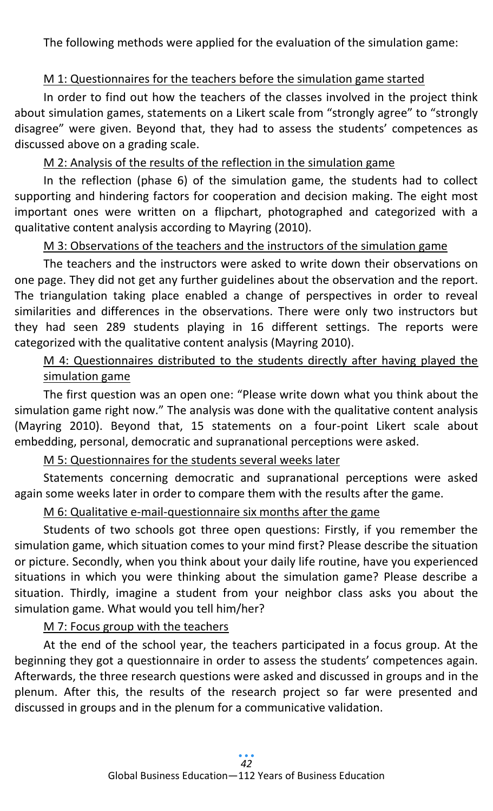The following methods were applied for the evaluation of the simulation game:

# M 1: Questionnaires for the teachers before the simulation game started

In order to find out how the teachers of the classes involved in the project think about simulation games, statements on a Likert scale from "strongly agree" to "strongly disagree" were given. Beyond that, they had to assess the students' competences as discussed above on a grading scale.

# M 2: Analysis of the results of the reflection in the simulation game

In the reflection (phase 6) of the simulation game, the students had to collect supporting and hindering factors for cooperation and decision making. The eight most important ones were written on a flipchart, photographed and categorized with a qualitative content analysis according to Mayring (2010).

# M 3: Observations of the teachers and the instructors of the simulation game

The teachers and the instructors were asked to write down their observations on one page. They did not get any further guidelines about the observation and the report. The triangulation taking place enabled a change of perspectives in order to reveal similarities and differences in the observations. There were only two instructors but they had seen 289 students playing in 16 different settings. The reports were categorized with the qualitative content analysis (Mayring 2010).

# M 4: Questionnaires distributed to the students directly after having played the simulation game

The first question was an open one: "Please write down what you think about the simulation game right now." The analysis was done with the qualitative content analysis (Mayring 2010). Beyond that, 15 statements on a four-point Likert scale about embedding, personal, democratic and supranational perceptions were asked.

## M 5: Questionnaires for the students several weeks later

Statements concerning democratic and supranational perceptions were asked again some weeks later in order to compare them with the results after the game.

## M 6: Qualitative e-mail-questionnaire six months after the game

Students of two schools got three open questions: Firstly, if you remember the simulation game, which situation comes to your mind first? Please describe the situation or picture. Secondly, when you think about your daily life routine, have you experienced situations in which you were thinking about the simulation game? Please describe a situation. Thirdly, imagine a student from your neighbor class asks you about the simulation game. What would you tell him/her?

#### M 7: Focus group with the teachers

At the end of the school year, the teachers participated in a focus group. At the beginning they got a questionnaire in order to assess the students' competences again. Afterwards, the three research questions were asked and discussed in groups and in the plenum. After this, the results of the research project so far were presented and discussed in groups and in the plenum for a communicative validation.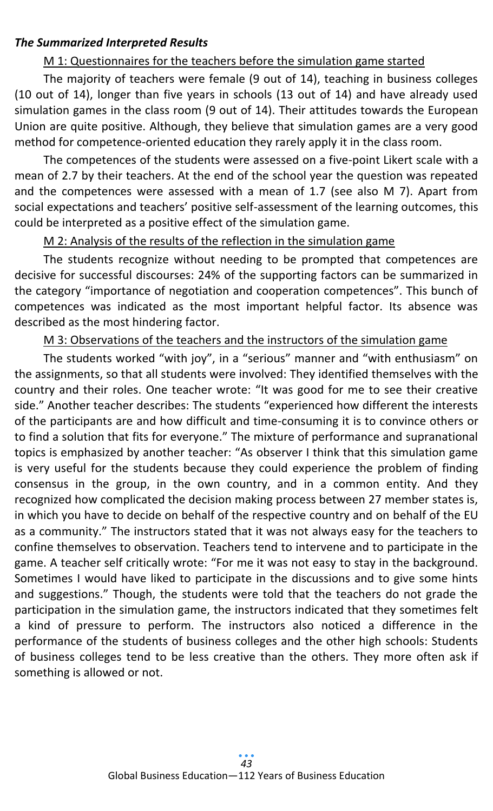#### *The Summarized Interpreted Results*

#### M 1: Questionnaires for the teachers before the simulation game started

The majority of teachers were female (9 out of 14), teaching in business colleges (10 out of 14), longer than five years in schools (13 out of 14) and have already used simulation games in the class room (9 out of 14). Their attitudes towards the European Union are quite positive. Although, they believe that simulation games are a very good method for competence-oriented education they rarely apply it in the class room.

The competences of the students were assessed on a five-point Likert scale with a mean of 2.7 by their teachers. At the end of the school year the question was repeated and the competences were assessed with a mean of 1.7 (see also M 7). Apart from social expectations and teachers' positive self-assessment of the learning outcomes, this could be interpreted as a positive effect of the simulation game.

#### M 2: Analysis of the results of the reflection in the simulation game

The students recognize without needing to be prompted that competences are decisive for successful discourses: 24% of the supporting factors can be summarized in the category "importance of negotiation and cooperation competences". This bunch of competences was indicated as the most important helpful factor. Its absence was described as the most hindering factor.

#### M 3: Observations of the teachers and the instructors of the simulation game

The students worked "with joy", in a "serious" manner and "with enthusiasm" on the assignments, so that all students were involved: They identified themselves with the country and their roles. One teacher wrote: "It was good for me to see their creative side." Another teacher describes: The students "experienced how different the interests of the participants are and how difficult and time-consuming it is to convince others or to find a solution that fits for everyone." The mixture of performance and supranational topics is emphasized by another teacher: "As observer I think that this simulation game is very useful for the students because they could experience the problem of finding consensus in the group, in the own country, and in a common entity. And they recognized how complicated the decision making process between 27 member states is, in which you have to decide on behalf of the respective country and on behalf of the EU as a community." The instructors stated that it was not always easy for the teachers to confine themselves to observation. Teachers tend to intervene and to participate in the game. A teacher self critically wrote: "For me it was not easy to stay in the background. Sometimes I would have liked to participate in the discussions and to give some hints and suggestions." Though, the students were told that the teachers do not grade the participation in the simulation game, the instructors indicated that they sometimes felt a kind of pressure to perform. The instructors also noticed a difference in the performance of the students of business colleges and the other high schools: Students of business colleges tend to be less creative than the others. They more often ask if something is allowed or not.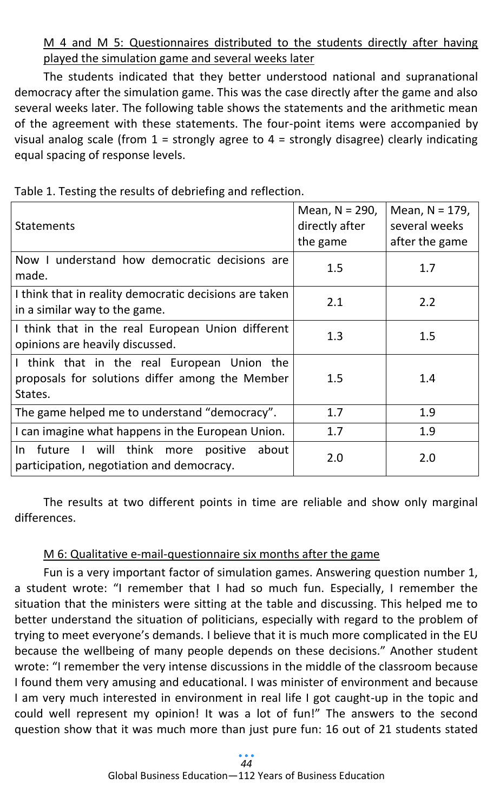M 4 and M 5: Questionnaires distributed to the students directly after having played the simulation game and several weeks later

The students indicated that they better understood national and supranational democracy after the simulation game. This was the case directly after the game and also several weeks later. The following table shows the statements and the arithmetic mean of the agreement with these statements. The four-point items were accompanied by visual analog scale (from  $1 =$  strongly agree to  $4 =$  strongly disagree) clearly indicating equal spacing of response levels.

| <b>Statements</b>                                                                                         | Mean, $N = 290$ ,<br>directly after<br>the game | Mean, $N = 179$ ,<br>several weeks<br>after the game |
|-----------------------------------------------------------------------------------------------------------|-------------------------------------------------|------------------------------------------------------|
| Now I understand how democratic decisions are<br>made.                                                    | 1.5                                             | 1.7                                                  |
| I think that in reality democratic decisions are taken<br>in a similar way to the game.                   | 2.1                                             | 2.2                                                  |
| I think that in the real European Union different<br>opinions are heavily discussed.                      | 1.3                                             | 1.5                                                  |
| I think that in the real European Union the<br>proposals for solutions differ among the Member<br>States. | 1.5                                             | 1.4                                                  |
| The game helped me to understand "democracy".                                                             | 1.7                                             | 1.9                                                  |
| I can imagine what happens in the European Union.                                                         | 1.7                                             | 1.9                                                  |
| future I will think more<br>positive<br>about<br>In<br>participation, negotiation and democracy.          | 2.0                                             | 2.0                                                  |

Table 1. Testing the results of debriefing and reflection.

The results at two different points in time are reliable and show only marginal differences.

## M 6: Qualitative e-mail-questionnaire six months after the game

Fun is a very important factor of simulation games. Answering question number 1, a student wrote: "I remember that I had so much fun. Especially, I remember the situation that the ministers were sitting at the table and discussing. This helped me to better understand the situation of politicians, especially with regard to the problem of trying to meet everyone's demands. I believe that it is much more complicated in the EU because the wellbeing of many people depends on these decisions." Another student wrote: "I remember the very intense discussions in the middle of the classroom because I found them very amusing and educational. I was minister of environment and because I am very much interested in environment in real life I got caught-up in the topic and could well represent my opinion! It was a lot of fun!" The answers to the second question show that it was much more than just pure fun: 16 out of 21 students stated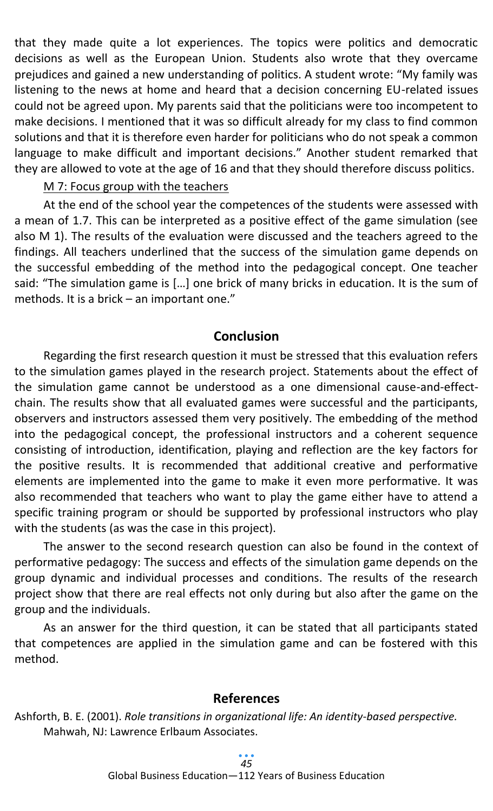that they made quite a lot experiences. The topics were politics and democratic decisions as well as the European Union. Students also wrote that they overcame prejudices and gained a new understanding of politics. A student wrote: "My family was listening to the news at home and heard that a decision concerning EU-related issues could not be agreed upon. My parents said that the politicians were too incompetent to make decisions. I mentioned that it was so difficult already for my class to find common solutions and that it is therefore even harder for politicians who do not speak a common language to make difficult and important decisions." Another student remarked that they are allowed to vote at the age of 16 and that they should therefore discuss politics.

#### M 7: Focus group with the teachers

At the end of the school year the competences of the students were assessed with a mean of 1.7. This can be interpreted as a positive effect of the game simulation (see also M 1). The results of the evaluation were discussed and the teachers agreed to the findings. All teachers underlined that the success of the simulation game depends on the successful embedding of the method into the pedagogical concept. One teacher said: "The simulation game is […] one brick of many bricks in education. It is the sum of methods. It is a brick – an important one."

# **Conclusion**

Regarding the first research question it must be stressed that this evaluation refers to the simulation games played in the research project. Statements about the effect of the simulation game cannot be understood as a one dimensional cause-and-effectchain. The results show that all evaluated games were successful and the participants, observers and instructors assessed them very positively. The embedding of the method into the pedagogical concept, the professional instructors and a coherent sequence consisting of introduction, identification, playing and reflection are the key factors for the positive results. It is recommended that additional creative and performative elements are implemented into the game to make it even more performative. It was also recommended that teachers who want to play the game either have to attend a specific training program or should be supported by professional instructors who play with the students (as was the case in this project).

The answer to the second research question can also be found in the context of performative pedagogy: The success and effects of the simulation game depends on the group dynamic and individual processes and conditions. The results of the research project show that there are real effects not only during but also after the game on the group and the individuals.

As an answer for the third question, it can be stated that all participants stated that competences are applied in the simulation game and can be fostered with this method.

## **References**

Ashforth, B. E. (2001). *Role transitions in organizational life: An identity-based perspective.* Mahwah, NJ: Lawrence Erlbaum Associates.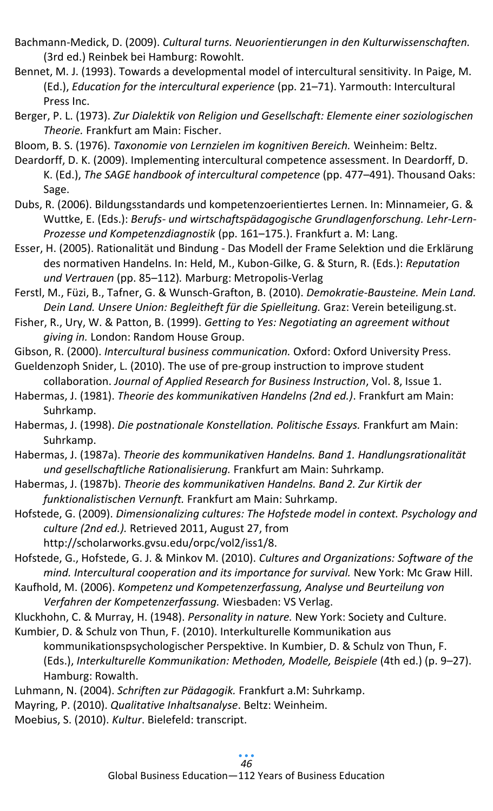Bachmann-Medick, D. (2009). *Cultural turns. Neuorientierungen in den Kulturwissenschaften.* (3rd ed.) Reinbek bei Hamburg: Rowohlt.

Bennet, M. J. (1993). Towards a developmental model of intercultural sensitivity. In Paige, M. (Ed.), *Education for the intercultural experience* (pp. 21–71). Yarmouth: Intercultural Press Inc.

Berger, P. L. (1973). *Zur Dialektik von Religion und Gesellschaft: Elemente einer soziologischen Theorie.* Frankfurt am Main: Fischer.

Bloom, B. S. (1976). *Taxonomie von Lernzielen im kognitiven Bereich.* Weinheim: Beltz.

Deardorff, D. K. (2009). Implementing intercultural competence assessment. In Deardorff, D. K. (Ed.), *The SAGE handbook of intercultural competence* (pp. 477–491). Thousand Oaks: Sage.

Dubs, R. (2006). Bildungsstandards und kompetenzoerientiertes Lernen. In: Minnameier, G. & Wuttke, E. (Eds.): *Berufs- und wirtschaftspädagogische Grundlagenforschung. Lehr-Lern-Prozesse und Kompetenzdiagnostik* (pp. 161–175.). Frankfurt a. M: Lang.

Esser, H. (2005). Rationalität und Bindung - Das Modell der Frame Selektion und die Erklärung des normativen Handelns. In: Held, M., Kubon-Gilke, G. & Sturn, R. (Eds.): *Reputation und Vertrauen* (pp. 85–112)*.* Marburg: Metropolis-Verlag

Ferstl, M., Füzi, B., Tafner, G. & Wunsch-Grafton, B. (2010). *Demokratie-Bausteine. Mein Land. Dein Land. Unsere Union: Begleitheft für die Spielleitung.* Graz: Verein beteiligung.st.

Fisher, R., Ury, W. & Patton, B. (1999). *Getting to Yes: Negotiating an agreement without giving in.* London: Random House Group.

Gibson, R. (2000). *Intercultural business communication.* Oxford: Oxford University Press.

Gueldenzoph Snider, L. (2010). The use of pre-group instruction to improve student collaboration. *Journal of Applied Research for Business Instruction*, Vol. 8, Issue 1.

Habermas, J. (1981). *Theorie des kommunikativen Handelns (2nd ed.)*. Frankfurt am Main: Suhrkamp.

Habermas, J. (1998). *Die postnationale Konstellation. Politische Essays.* Frankfurt am Main: Suhrkamp.

Habermas, J. (1987a). *Theorie des kommunikativen Handelns. Band 1. Handlungsrationalität und gesellschaftliche Rationalisierung.* Frankfurt am Main: Suhrkamp.

Habermas, J. (1987b). *Theorie des kommunikativen Handelns. Band 2. Zur Kirtik der funktionalistischen Vernunft.* Frankfurt am Main: Suhrkamp.

Hofstede, G. (2009). *Dimensionalizing cultures: The Hofstede model in context. Psychology and culture (2nd ed.).* Retrieved 2011, August 27, from

http://scholarworks.gvsu.edu/orpc/vol2/iss1/8.

Hofstede, G., Hofstede, G. J. & Minkov M. (2010). *Cultures and Organizations: Software of the mind. Intercultural cooperation and its importance for survival.* New York: Mc Graw Hill.

Kaufhold, M. (2006). *Kompetenz und Kompetenzerfassung, Analyse und Beurteilung von Verfahren der Kompetenzerfassung.* Wiesbaden: VS Verlag.

Kluckhohn, C. & Murray, H. (1948). *Personality in nature.* New York: Society and Culture.

Kumbier, D. & Schulz von Thun, F. (2010). Interkulturelle Kommunikation aus

kommunikationspsychologischer Perspektive. In Kumbier, D. & Schulz von Thun, F. (Eds.), *Interkulturelle Kommunikation: Methoden, Modelle, Beispiele* (4th ed.) (p. 9–27). Hamburg: Rowalth.

Luhmann, N. (2004). *Schriften zur Pädagogik.* Frankfurt a.M: Suhrkamp.

Mayring, P. (2010). *Qualitative Inhaltsanalyse*. Beltz: Weinheim.

Moebius, S. (2010). *Kultur*. Bielefeld: transcript.